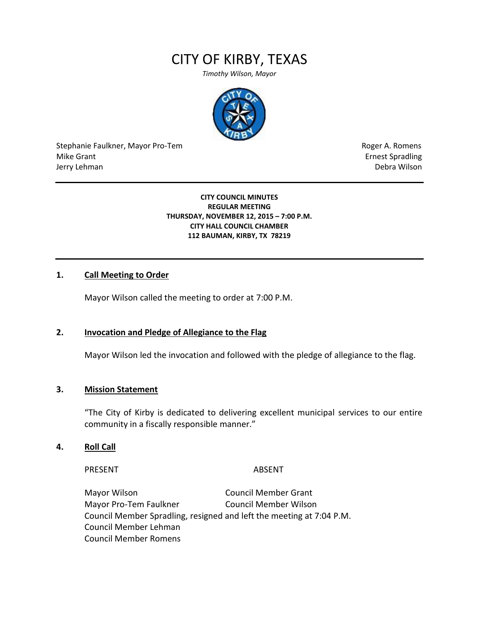# CITY OF KIRBY, TEXAS

*Timothy Wilson, Mayor*



Stephanie Faulkner, Mayor Pro-Tem **Roger A. Romens** Roger A. Romens Mike Grant **Example 2018** Spradling School and Spradling School and Spradling School and Spradling School and Spradling School and Spradling School and Spradling School and Spradling School and Spradling School and Spradli Jerry Lehman Debra Wilson

## **CITY COUNCIL MINUTES REGULAR MEETING THURSDAY, NOVEMBER 12, 2015 – 7:00 P.M. CITY HALL COUNCIL CHAMBER 112 BAUMAN, KIRBY, TX 78219**

## **1. Call Meeting to Order**

Mayor Wilson called the meeting to order at 7:00 P.M.

## **2. Invocation and Pledge of Allegiance to the Flag**

Mayor Wilson led the invocation and followed with the pledge of allegiance to the flag.

## **3. Mission Statement**

"The City of Kirby is dedicated to delivering excellent municipal services to our entire community in a fiscally responsible manner."

#### **4. Roll Call**

PRESENT ABSENT

Mayor Wilson Council Member Grant Mayor Pro-Tem Faulkner Council Member Wilson Council Member Spradling, resigned and left the meeting at 7:04 P.M. Council Member Lehman Council Member Romens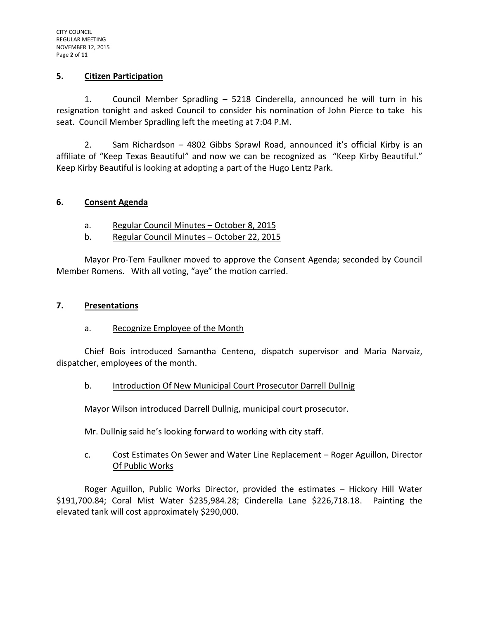## **5. Citizen Participation**

1. Council Member Spradling – 5218 Cinderella, announced he will turn in his resignation tonight and asked Council to consider his nomination of John Pierce to take his seat. Council Member Spradling left the meeting at 7:04 P.M.

2. Sam Richardson – 4802 Gibbs Sprawl Road, announced it's official Kirby is an affiliate of "Keep Texas Beautiful" and now we can be recognized as "Keep Kirby Beautiful." Keep Kirby Beautiful is looking at adopting a part of the Hugo Lentz Park.

# **6. Consent Agenda**

- a. Regular Council Minutes October 8, 2015
- b. Regular Council Minutes October 22, 2015

Mayor Pro-Tem Faulkner moved to approve the Consent Agenda; seconded by Council Member Romens. With all voting, "aye" the motion carried.

# **7. Presentations**

# a. Recognize Employee of the Month

Chief Bois introduced Samantha Centeno, dispatch supervisor and Maria Narvaiz, dispatcher, employees of the month.

## b. Introduction Of New Municipal Court Prosecutor Darrell Dullnig

Mayor Wilson introduced Darrell Dullnig, municipal court prosecutor.

Mr. Dullnig said he's looking forward to working with city staff.

# c. Cost Estimates On Sewer and Water Line Replacement – Roger Aguillon, Director Of Public Works

Roger Aguillon, Public Works Director, provided the estimates – Hickory Hill Water \$191,700.84; Coral Mist Water \$235,984.28; Cinderella Lane \$226,718.18. Painting the elevated tank will cost approximately \$290,000.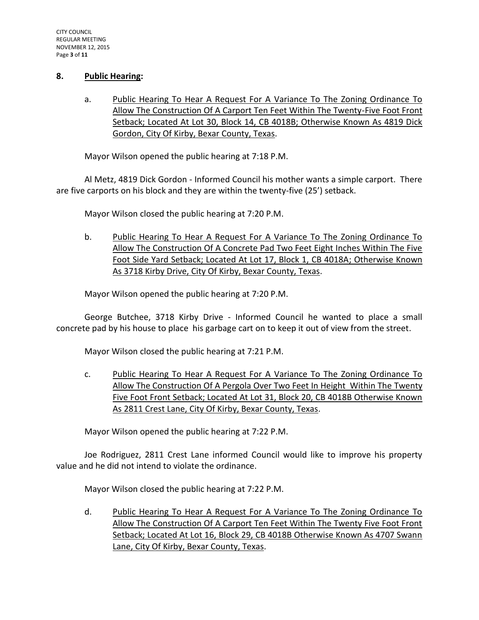## **8. Public Hearing:**

a. Public Hearing To Hear A Request For A Variance To The Zoning Ordinance To Allow The Construction Of A Carport Ten Feet Within The Twenty-Five Foot Front Setback; Located At Lot 30, Block 14, CB 4018B; Otherwise Known As 4819 Dick Gordon, City Of Kirby, Bexar County, Texas.

Mayor Wilson opened the public hearing at 7:18 P.M.

Al Metz, 4819 Dick Gordon - Informed Council his mother wants a simple carport. There are five carports on his block and they are within the twenty-five (25') setback.

Mayor Wilson closed the public hearing at 7:20 P.M.

b. Public Hearing To Hear A Request For A Variance To The Zoning Ordinance To Allow The Construction Of A Concrete Pad Two Feet Eight Inches Within The Five Foot Side Yard Setback; Located At Lot 17, Block 1, CB 4018A; Otherwise Known As 3718 Kirby Drive, City Of Kirby, Bexar County, Texas.

Mayor Wilson opened the public hearing at 7:20 P.M.

George Butchee, 3718 Kirby Drive - Informed Council he wanted to place a small concrete pad by his house to place his garbage cart on to keep it out of view from the street.

Mayor Wilson closed the public hearing at 7:21 P.M.

c. Public Hearing To Hear A Request For A Variance To The Zoning Ordinance To Allow The Construction Of A Pergola Over Two Feet In Height Within The Twenty Five Foot Front Setback; Located At Lot 31, Block 20, CB 4018B Otherwise Known As 2811 Crest Lane, City Of Kirby, Bexar County, Texas.

Mayor Wilson opened the public hearing at 7:22 P.M.

Joe Rodriguez, 2811 Crest Lane informed Council would like to improve his property value and he did not intend to violate the ordinance.

Mayor Wilson closed the public hearing at 7:22 P.M.

d. Public Hearing To Hear A Request For A Variance To The Zoning Ordinance To Allow The Construction Of A Carport Ten Feet Within The Twenty Five Foot Front Setback; Located At Lot 16, Block 29, CB 4018B Otherwise Known As 4707 Swann Lane, City Of Kirby, Bexar County, Texas.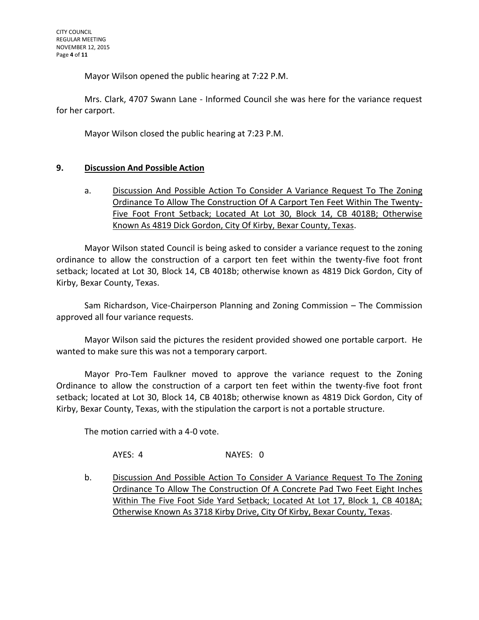Mayor Wilson opened the public hearing at 7:22 P.M.

Mrs. Clark, 4707 Swann Lane - Informed Council she was here for the variance request for her carport.

Mayor Wilson closed the public hearing at 7:23 P.M.

# **9. Discussion And Possible Action**

a. Discussion And Possible Action To Consider A Variance Request To The Zoning Ordinance To Allow The Construction Of A Carport Ten Feet Within The Twenty-Five Foot Front Setback; Located At Lot 30, Block 14, CB 4018B; Otherwise Known As 4819 Dick Gordon, City Of Kirby, Bexar County, Texas.

Mayor Wilson stated Council is being asked to consider a variance request to the zoning ordinance to allow the construction of a carport ten feet within the twenty-five foot front setback; located at Lot 30, Block 14, CB 4018b; otherwise known as 4819 Dick Gordon, City of Kirby, Bexar County, Texas.

Sam Richardson, Vice-Chairperson Planning and Zoning Commission – The Commission approved all four variance requests.

Mayor Wilson said the pictures the resident provided showed one portable carport. He wanted to make sure this was not a temporary carport.

Mayor Pro-Tem Faulkner moved to approve the variance request to the Zoning Ordinance to allow the construction of a carport ten feet within the twenty-five foot front setback; located at Lot 30, Block 14, CB 4018b; otherwise known as 4819 Dick Gordon, City of Kirby, Bexar County, Texas, with the stipulation the carport is not a portable structure.

The motion carried with a 4-0 vote.

AYES: 4 NAYES: 0

b. Discussion And Possible Action To Consider A Variance Request To The Zoning Ordinance To Allow The Construction Of A Concrete Pad Two Feet Eight Inches Within The Five Foot Side Yard Setback; Located At Lot 17, Block 1, CB 4018A; Otherwise Known As 3718 Kirby Drive, City Of Kirby, Bexar County, Texas.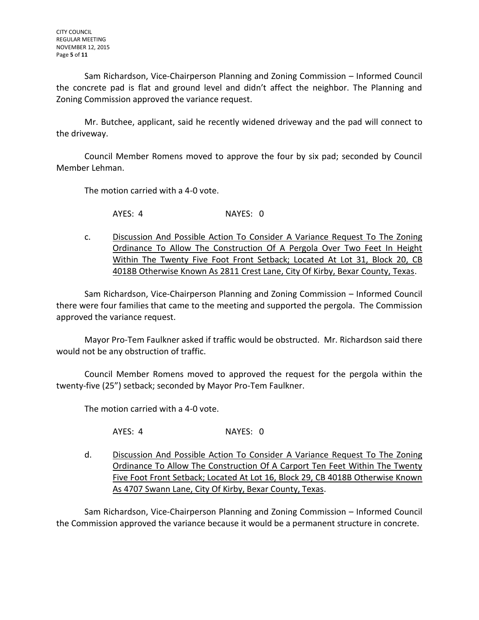Sam Richardson, Vice-Chairperson Planning and Zoning Commission – Informed Council the concrete pad is flat and ground level and didn't affect the neighbor. The Planning and Zoning Commission approved the variance request.

Mr. Butchee, applicant, said he recently widened driveway and the pad will connect to the driveway.

Council Member Romens moved to approve the four by six pad; seconded by Council Member Lehman.

The motion carried with a 4-0 vote.

AYES: 4 NAYES: 0

c. Discussion And Possible Action To Consider A Variance Request To The Zoning Ordinance To Allow The Construction Of A Pergola Over Two Feet In Height Within The Twenty Five Foot Front Setback; Located At Lot 31, Block 20, CB 4018B Otherwise Known As 2811 Crest Lane, City Of Kirby, Bexar County, Texas.

Sam Richardson, Vice-Chairperson Planning and Zoning Commission – Informed Council there were four families that came to the meeting and supported the pergola. The Commission approved the variance request.

Mayor Pro-Tem Faulkner asked if traffic would be obstructed. Mr. Richardson said there would not be any obstruction of traffic.

Council Member Romens moved to approved the request for the pergola within the twenty-five (25") setback; seconded by Mayor Pro-Tem Faulkner.

The motion carried with a 4-0 vote.

AYES: 4 NAYES: 0

d. Discussion And Possible Action To Consider A Variance Request To The Zoning Ordinance To Allow The Construction Of A Carport Ten Feet Within The Twenty Five Foot Front Setback; Located At Lot 16, Block 29, CB 4018B Otherwise Known As 4707 Swann Lane, City Of Kirby, Bexar County, Texas.

Sam Richardson, Vice-Chairperson Planning and Zoning Commission – Informed Council the Commission approved the variance because it would be a permanent structure in concrete.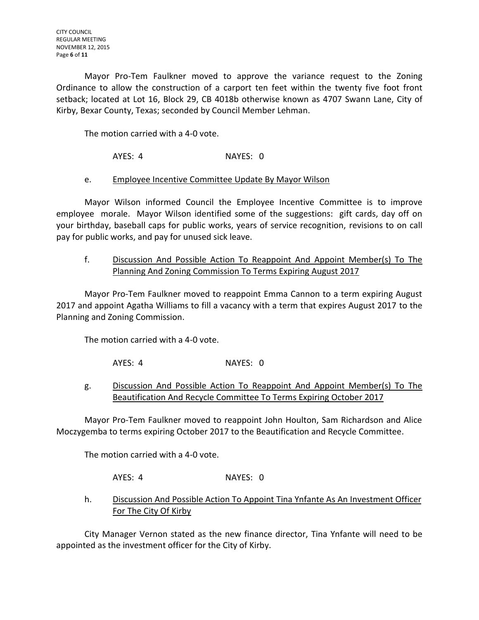Mayor Pro-Tem Faulkner moved to approve the variance request to the Zoning Ordinance to allow the construction of a carport ten feet within the twenty five foot front setback; located at Lot 16, Block 29, CB 4018b otherwise known as 4707 Swann Lane, City of Kirby, Bexar County, Texas; seconded by Council Member Lehman.

The motion carried with a 4-0 vote.

AYES: 4 NAYES: 0

# e. Employee Incentive Committee Update By Mayor Wilson

Mayor Wilson informed Council the Employee Incentive Committee is to improve employee morale. Mayor Wilson identified some of the suggestions: gift cards, day off on your birthday, baseball caps for public works, years of service recognition, revisions to on call pay for public works, and pay for unused sick leave.

f. Discussion And Possible Action To Reappoint And Appoint Member(s) To The Planning And Zoning Commission To Terms Expiring August 2017

Mayor Pro-Tem Faulkner moved to reappoint Emma Cannon to a term expiring August 2017 and appoint Agatha Williams to fill a vacancy with a term that expires August 2017 to the Planning and Zoning Commission.

The motion carried with a 4-0 vote.

AYES: 4 NAYES: 0

g. Discussion And Possible Action To Reappoint And Appoint Member(s) To The Beautification And Recycle Committee To Terms Expiring October 2017

Mayor Pro-Tem Faulkner moved to reappoint John Houlton, Sam Richardson and Alice Moczygemba to terms expiring October 2017 to the Beautification and Recycle Committee.

The motion carried with a 4-0 vote.

AYES: 4 NAYES: 0

h. Discussion And Possible Action To Appoint Tina Ynfante As An Investment Officer For The City Of Kirby

City Manager Vernon stated as the new finance director, Tina Ynfante will need to be appointed as the investment officer for the City of Kirby.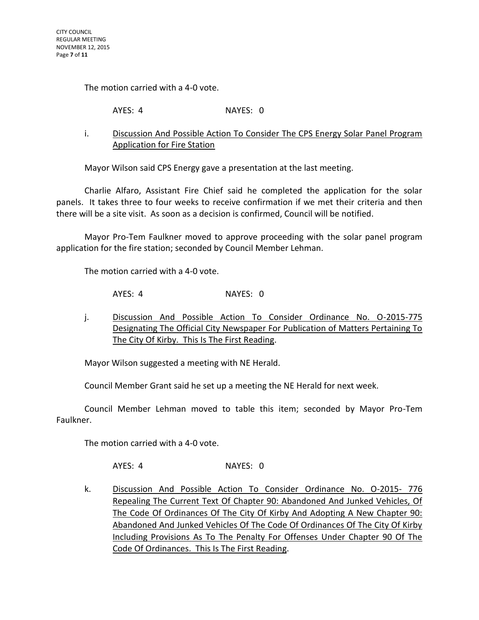The motion carried with a 4-0 vote.

AYES: 4 NAYES: 0

i. Discussion And Possible Action To Consider The CPS Energy Solar Panel Program Application for Fire Station

Mayor Wilson said CPS Energy gave a presentation at the last meeting.

Charlie Alfaro, Assistant Fire Chief said he completed the application for the solar panels. It takes three to four weeks to receive confirmation if we met their criteria and then there will be a site visit. As soon as a decision is confirmed, Council will be notified.

Mayor Pro-Tem Faulkner moved to approve proceeding with the solar panel program application for the fire station; seconded by Council Member Lehman.

The motion carried with a 4-0 vote.

AYES: 4 NAYES: 0

j. Discussion And Possible Action To Consider Ordinance No. 0-2015-775 Designating The Official City Newspaper For Publication of Matters Pertaining To The City Of Kirby. This Is The First Reading.

Mayor Wilson suggested a meeting with NE Herald.

Council Member Grant said he set up a meeting the NE Herald for next week.

Council Member Lehman moved to table this item; seconded by Mayor Pro-Tem Faulkner.

The motion carried with a 4-0 vote.

AYES: 4 NAYES: 0

k. Discussion And Possible Action To Consider Ordinance No. O-2015- 776 Repealing The Current Text Of Chapter 90: Abandoned And Junked Vehicles, Of The Code Of Ordinances Of The City Of Kirby And Adopting A New Chapter 90: Abandoned And Junked Vehicles Of The Code Of Ordinances Of The City Of Kirby Including Provisions As To The Penalty For Offenses Under Chapter 90 Of The Code Of Ordinances. This Is The First Reading.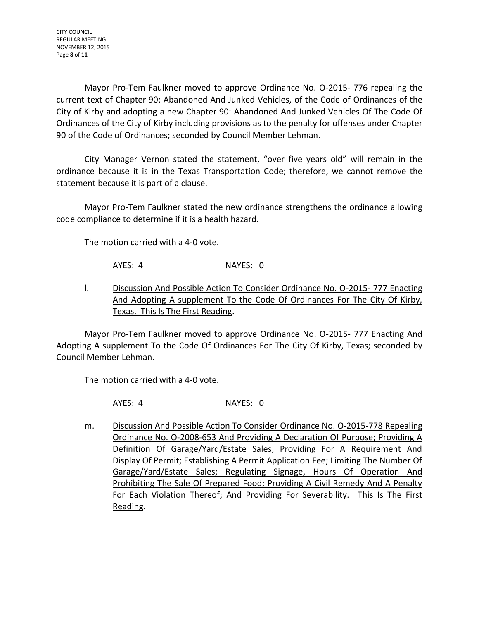Mayor Pro-Tem Faulkner moved to approve Ordinance No. O-2015- 776 repealing the current text of Chapter 90: Abandoned And Junked Vehicles, of the Code of Ordinances of the City of Kirby and adopting a new Chapter 90: Abandoned And Junked Vehicles Of The Code Of Ordinances of the City of Kirby including provisions as to the penalty for offenses under Chapter 90 of the Code of Ordinances; seconded by Council Member Lehman.

City Manager Vernon stated the statement, "over five years old" will remain in the ordinance because it is in the Texas Transportation Code; therefore, we cannot remove the statement because it is part of a clause.

Mayor Pro-Tem Faulkner stated the new ordinance strengthens the ordinance allowing code compliance to determine if it is a health hazard.

The motion carried with a 4-0 vote.

AYES: 4 NAYES: 0

l. Discussion And Possible Action To Consider Ordinance No. O-2015- 777 Enacting And Adopting A supplement To the Code Of Ordinances For The City Of Kirby, Texas. This Is The First Reading.

Mayor Pro-Tem Faulkner moved to approve Ordinance No. O-2015- 777 Enacting And Adopting A supplement To the Code Of Ordinances For The City Of Kirby, Texas; seconded by Council Member Lehman.

The motion carried with a 4-0 vote.

AYES: 4 NAYES: 0

m. Discussion And Possible Action To Consider Ordinance No. O-2015-778 Repealing Ordinance No. O-2008-653 And Providing A Declaration Of Purpose; Providing A Definition Of Garage/Yard/Estate Sales; Providing For A Requirement And Display Of Permit; Establishing A Permit Application Fee; Limiting The Number Of Garage/Yard/Estate Sales; Regulating Signage, Hours Of Operation And Prohibiting The Sale Of Prepared Food; Providing A Civil Remedy And A Penalty For Each Violation Thereof; And Providing For Severability. This Is The First Reading.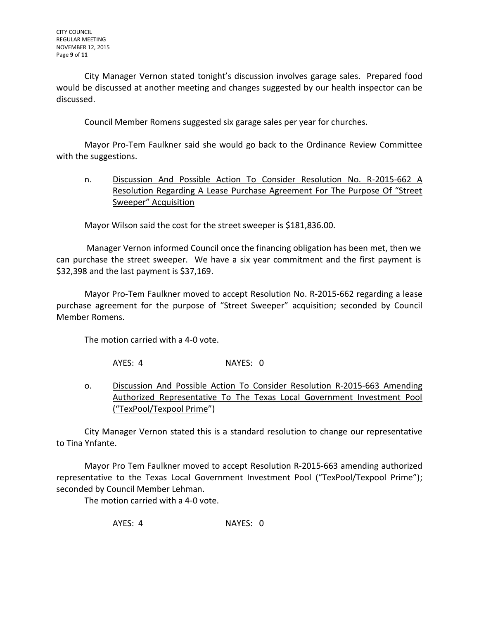City Manager Vernon stated tonight's discussion involves garage sales. Prepared food would be discussed at another meeting and changes suggested by our health inspector can be discussed.

Council Member Romens suggested six garage sales per year for churches.

Mayor Pro-Tem Faulkner said she would go back to the Ordinance Review Committee with the suggestions.

n. Discussion And Possible Action To Consider Resolution No. R-2015-662 A Resolution Regarding A Lease Purchase Agreement For The Purpose Of "Street Sweeper" Acquisition

Mayor Wilson said the cost for the street sweeper is \$181,836.00.

Manager Vernon informed Council once the financing obligation has been met, then we can purchase the street sweeper. We have a six year commitment and the first payment is \$32,398 and the last payment is \$37,169.

Mayor Pro-Tem Faulkner moved to accept Resolution No. R-2015-662 regarding a lease purchase agreement for the purpose of "Street Sweeper" acquisition; seconded by Council Member Romens.

The motion carried with a 4-0 vote.

AYES: 4 NAYES: 0

o. Discussion And Possible Action To Consider Resolution R-2015-663 Amending Authorized Representative To The Texas Local Government Investment Pool ("TexPool/Texpool Prime")

City Manager Vernon stated this is a standard resolution to change our representative to Tina Ynfante.

Mayor Pro Tem Faulkner moved to accept Resolution R-2015-663 amending authorized representative to the Texas Local Government Investment Pool ("TexPool/Texpool Prime"); seconded by Council Member Lehman.

The motion carried with a 4-0 vote.

AYES: 4 NAYES: 0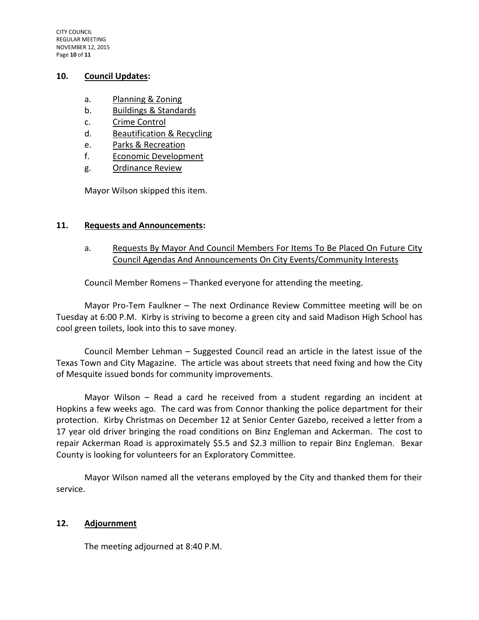## **10. Council Updates:**

- a. Planning & Zoning
- b. Buildings & Standards
- c. Crime Control
- d. Beautification & Recycling
- e. Parks & Recreation
- f. Economic Development
- g. Ordinance Review

Mayor Wilson skipped this item.

## **11. Requests and Announcements:**

a. Requests By Mayor And Council Members For Items To Be Placed On Future City Council Agendas And Announcements On City Events/Community Interests

Council Member Romens – Thanked everyone for attending the meeting.

Mayor Pro-Tem Faulkner – The next Ordinance Review Committee meeting will be on Tuesday at 6:00 P.M. Kirby is striving to become a green city and said Madison High School has cool green toilets, look into this to save money.

Council Member Lehman – Suggested Council read an article in the latest issue of the Texas Town and City Magazine. The article was about streets that need fixing and how the City of Mesquite issued bonds for community improvements.

Mayor Wilson – Read a card he received from a student regarding an incident at Hopkins a few weeks ago. The card was from Connor thanking the police department for their protection. Kirby Christmas on December 12 at Senior Center Gazebo, received a letter from a 17 year old driver bringing the road conditions on Binz Engleman and Ackerman. The cost to repair Ackerman Road is approximately \$5.5 and \$2.3 million to repair Binz Engleman. Bexar County is looking for volunteers for an Exploratory Committee.

Mayor Wilson named all the veterans employed by the City and thanked them for their service.

## **12. Adjournment**

The meeting adjourned at 8:40 P.M.